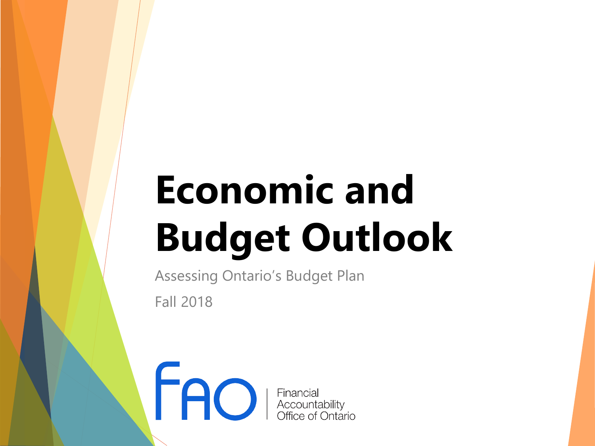# **Economic and Budget Outlook**

Assessing Ontario's Budget Plan Fall 2018

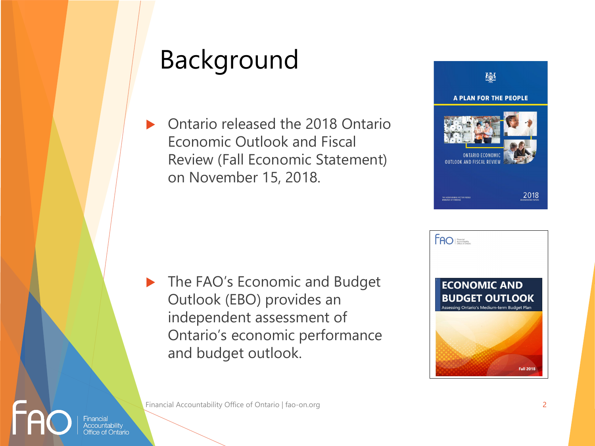# Background

 Ontario released the 2018 Ontario Economic Outlook and Fiscal Review (Fall Economic Statement) on November 15, 2018.



 The FAO's Economic and Budget Outlook (EBO) provides an independent assessment of Ontario's economic performance and budget outlook.



Financial Accountability Office of Ontario | fao-on.org 2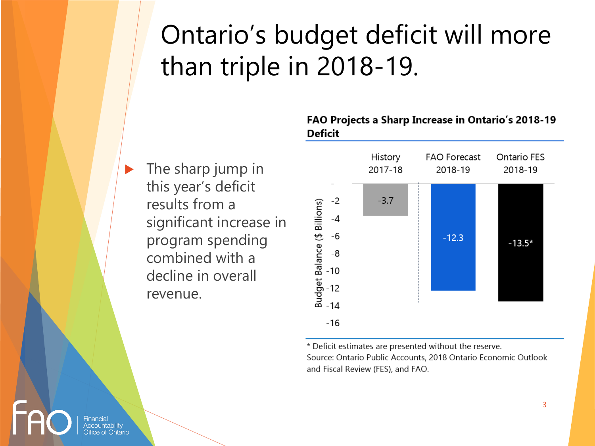# Ontario's budget deficit will more than triple in 2018-19.

**The sharp jump in** this year's deficit results from a significant increase in program spending combined with a decline in overall revenue.

#### FAO Projects a Sharp Increase in Ontario's 2018-19 **Deficit**



\* Deficit estimates are presented without the reserve. Source: Ontario Public Accounts, 2018 Ontario Economic Outlook and Fiscal Review (FES), and FAO.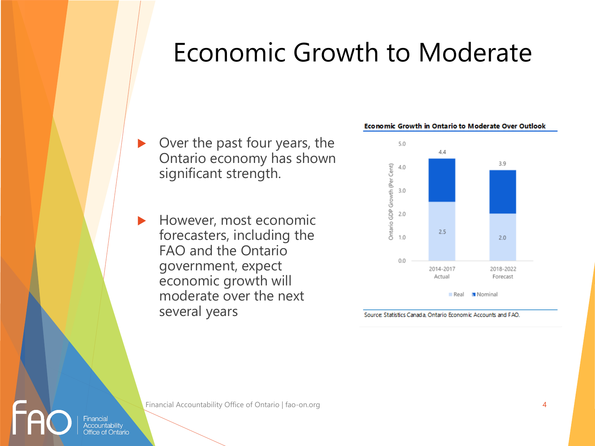## Economic Growth to Moderate

- ▶ Over the past four years, the Ontario economy has shown significant strength.
- However, most economic forecasters, including the FAO and the Ontario government, expect economic growth will moderate over the next several years





Source: Statistics Canada, Ontario Economic Accounts and FAO.

Financial Accountability Office of Ontario | fao-on.org 4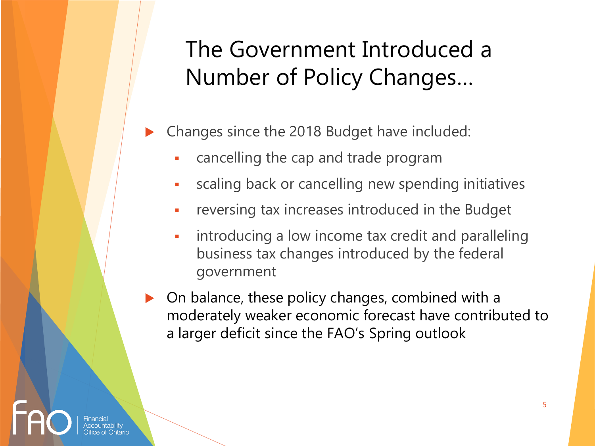### The Government Introduced a Number of Policy Changes…

- Changes since the 2018 Budget have included:
	- **Example 2** cancelling the cap and trade program
	- scaling back or cancelling new spending initiatives
	- reversing tax increases introduced in the Budget
	- **EXEDENT Introducing a low income tax credit and paralleling** business tax changes introduced by the federal government
- On balance, these policy changes, combined with a moderately weaker economic forecast have contributed to a larger deficit since the FAO's Spring outlook

5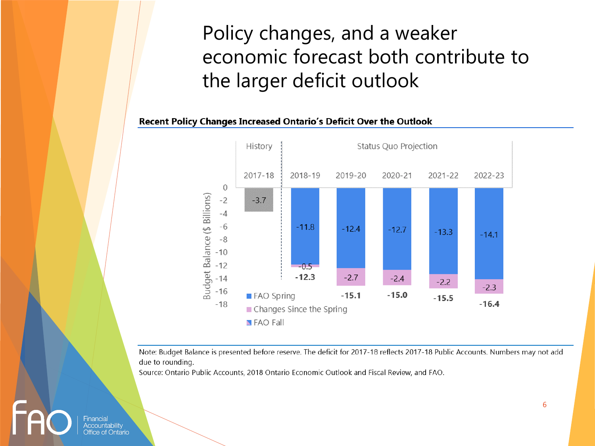### Policy changes, and a weaker economic forecast both contribute to the larger deficit outlook

#### Recent Policy Changes Increased Ontario's Deficit Over the Outlook



Note: Budget Balance is presented before reserve. The deficit for 2017-18 reflects 2017-18 Public Accounts. Numbers may not add due to rounding.

Source: Ontario Public Accounts, 2018 Ontario Economic Outlook and Fiscal Review, and FAO.

6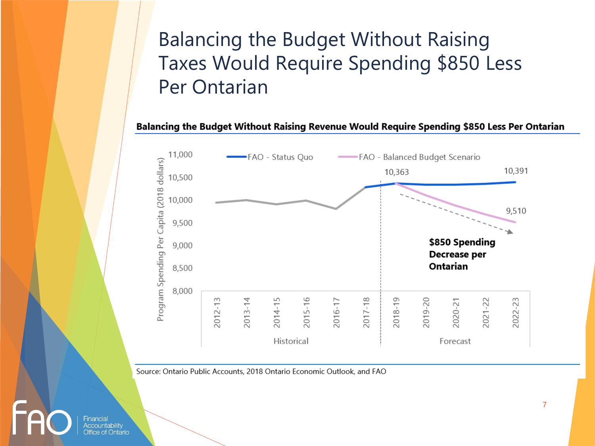#### Balancing the Budget Without Raising Taxes Would Require Spending \$850 Less Per Ontarian

Balancing the Budget Without Raising Revenue Would Require Spending \$850 Less Per Ontarian



Source: Ontario Public Accounts, 2018 Ontario Economic Outlook, and FAO